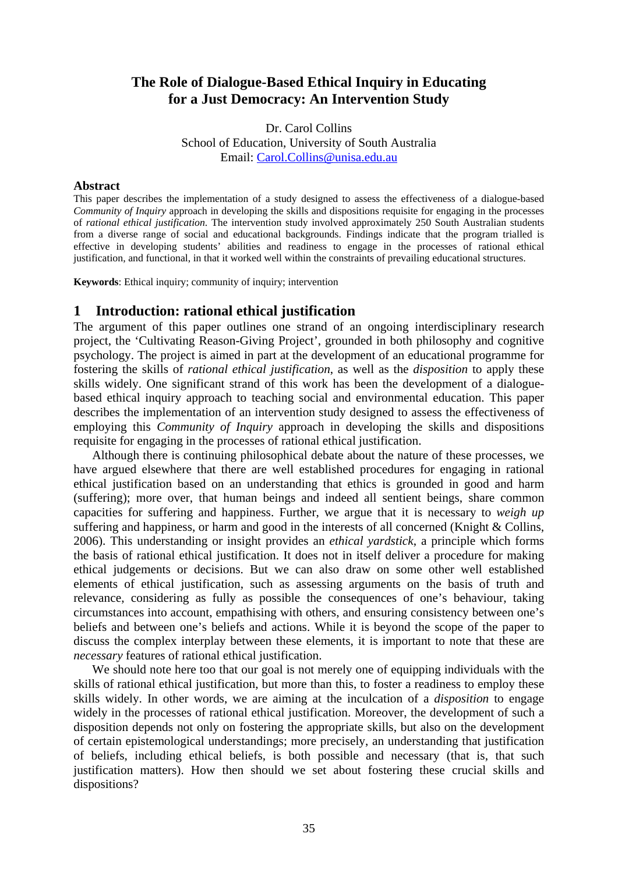# **The Role of Dialogue-Based Ethical Inquiry in Educating for a Just Democracy: An Intervention Study**

Dr. Carol Collins School of Education, University of South Australia Email: [Carol.Collins@unisa.edu.au](mailto:Carol.Collins@unisa.edu.au)

#### **Abstract**

This paper describes the implementation of a study designed to assess the effectiveness of a dialogue-based *Community of Inquiry* approach in developing the skills and dispositions requisite for engaging in the processes of *rational ethical justification*. The intervention study involved approximately 250 South Australian students from a diverse range of social and educational backgrounds. Findings indicate that the program trialled is effective in developing students' abilities and readiness to engage in the processes of rational ethical justification, and functional, in that it worked well within the constraints of prevailing educational structures.

**Keywords**: Ethical inquiry; community of inquiry; intervention

### **1 Introduction: rational ethical justification**

The argument of this paper outlines one strand of an ongoing interdisciplinary research project, the 'Cultivating Reason-Giving Project', grounded in both philosophy and cognitive psychology. The project is aimed in part at the development of an educational programme for fostering the skills of *rational ethical justification*, as well as the *disposition* to apply these skills widely. One significant strand of this work has been the development of a dialoguebased ethical inquiry approach to teaching social and environmental education. This paper describes the implementation of an intervention study designed to assess the effectiveness of employing this *Community of Inquiry* approach in developing the skills and dispositions requisite for engaging in the processes of rational ethical justification.

Although there is continuing philosophical debate about the nature of these processes, we have argued elsewhere that there are well established procedures for engaging in rational ethical justification based on an understanding that ethics is grounded in good and harm (suffering); more over, that human beings and indeed all sentient beings, share common capacities for suffering and happiness. Further, we argue that it is necessary to *weigh up* suffering and happiness, or harm and good in the interests of all concerned (Knight & Collins, 2006). This understanding or insight provides an *ethical yardstick*, a principle which forms the basis of rational ethical justification. It does not in itself deliver a procedure for making ethical judgements or decisions. But we can also draw on some other well established elements of ethical justification, such as assessing arguments on the basis of truth and relevance, considering as fully as possible the consequences of one's behaviour, taking circumstances into account, empathising with others, and ensuring consistency between one's beliefs and between one's beliefs and actions. While it is beyond the scope of the paper to discuss the complex interplay between these elements, it is important to note that these are *necessary* features of rational ethical justification.

We should note here too that our goal is not merely one of equipping individuals with the skills of rational ethical justification, but more than this, to foster a readiness to employ these skills widely. In other words, we are aiming at the inculcation of a *disposition* to engage widely in the processes of rational ethical justification. Moreover, the development of such a disposition depends not only on fostering the appropriate skills, but also on the development of certain epistemological understandings; more precisely, an understanding that justification of beliefs, including ethical beliefs, is both possible and necessary (that is, that such justification matters). How then should we set about fostering these crucial skills and dispositions?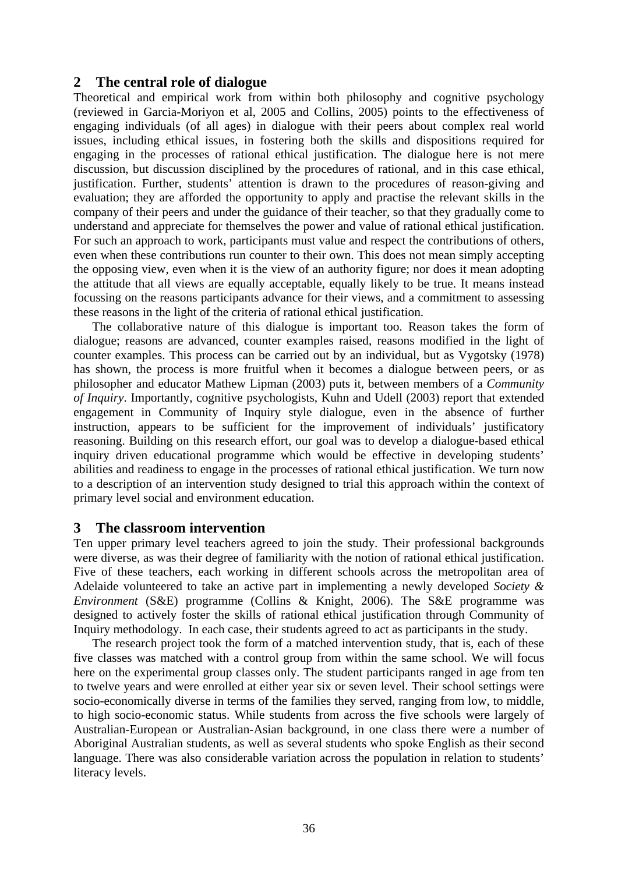## **2 The central role of dialogue**

Theoretical and empirical work from within both philosophy and cognitive psychology (reviewed in Garcia-Moriyon et al, 2005 and Collins, 2005) points to the effectiveness of engaging individuals (of all ages) in dialogue with their peers about complex real world issues, including ethical issues, in fostering both the skills and dispositions required for engaging in the processes of rational ethical justification. The dialogue here is not mere discussion, but discussion disciplined by the procedures of rational, and in this case ethical, justification. Further, students' attention is drawn to the procedures of reason-giving and evaluation; they are afforded the opportunity to apply and practise the relevant skills in the company of their peers and under the guidance of their teacher, so that they gradually come to understand and appreciate for themselves the power and value of rational ethical justification. For such an approach to work, participants must value and respect the contributions of others, even when these contributions run counter to their own. This does not mean simply accepting the opposing view, even when it is the view of an authority figure; nor does it mean adopting the attitude that all views are equally acceptable, equally likely to be true. It means instead focussing on the reasons participants advance for their views, and a commitment to assessing these reasons in the light of the criteria of rational ethical justification.

The collaborative nature of this dialogue is important too. Reason takes the form of dialogue; reasons are advanced, counter examples raised, reasons modified in the light of counter examples. This process can be carried out by an individual, but as Vygotsky (1978) has shown, the process is more fruitful when it becomes a dialogue between peers, or as philosopher and educator Mathew Lipman (2003) puts it, between members of a *Community of Inquiry*. Importantly, cognitive psychologists, Kuhn and Udell (2003) report that extended engagement in Community of Inquiry style dialogue, even in the absence of further instruction, appears to be sufficient for the improvement of individuals' justificatory reasoning. Building on this research effort, our goal was to develop a dialogue-based ethical inquiry driven educational programme which would be effective in developing students' abilities and readiness to engage in the processes of rational ethical justification. We turn now to a description of an intervention study designed to trial this approach within the context of primary level social and environment education.

### **3 The classroom intervention**

Ten upper primary level teachers agreed to join the study. Their professional backgrounds were diverse, as was their degree of familiarity with the notion of rational ethical justification. Five of these teachers, each working in different schools across the metropolitan area of Adelaide volunteered to take an active part in implementing a newly developed *Society & Environment* (S&E) programme (Collins & Knight, 2006). The S&E programme was designed to actively foster the skills of rational ethical justification through Community of Inquiry methodology. In each case, their students agreed to act as participants in the study.

The research project took the form of a matched intervention study, that is, each of these five classes was matched with a control group from within the same school. We will focus here on the experimental group classes only. The student participants ranged in age from ten to twelve years and were enrolled at either year six or seven level. Their school settings were socio-economically diverse in terms of the families they served, ranging from low, to middle, to high socio-economic status. While students from across the five schools were largely of Australian-European or Australian-Asian background, in one class there were a number of Aboriginal Australian students, as well as several students who spoke English as their second language. There was also considerable variation across the population in relation to students' literacy levels.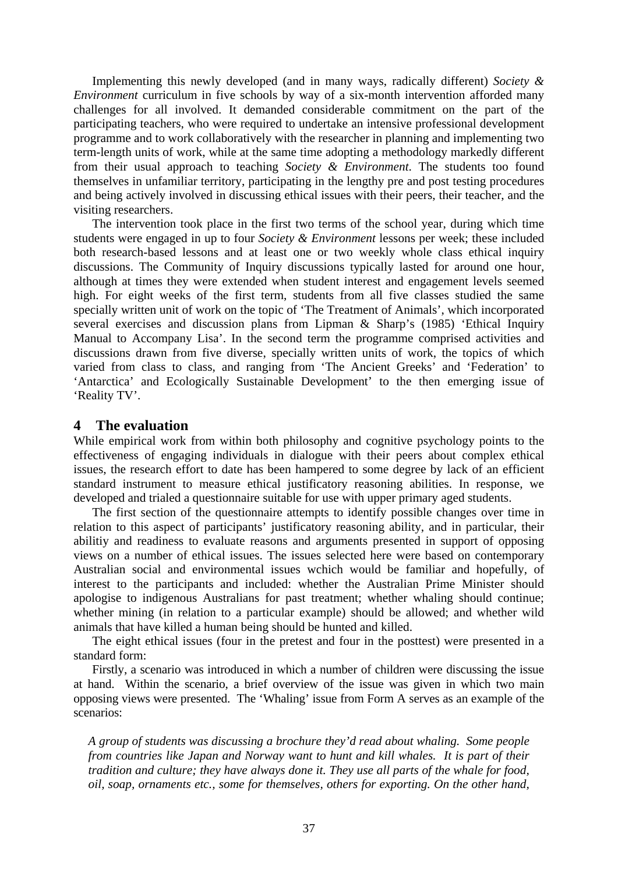Implementing this newly developed (and in many ways, radically different) *Society & Environment* curriculum in five schools by way of a six-month intervention afforded many challenges for all involved. It demanded considerable commitment on the part of the participating teachers, who were required to undertake an intensive professional development programme and to work collaboratively with the researcher in planning and implementing two term-length units of work, while at the same time adopting a methodology markedly different from their usual approach to teaching *Society & Environment*. The students too found themselves in unfamiliar territory, participating in the lengthy pre and post testing procedures and being actively involved in discussing ethical issues with their peers, their teacher, and the visiting researchers.

The intervention took place in the first two terms of the school year, during which time students were engaged in up to four *Society & Environment* lessons per week; these included both research-based lessons and at least one or two weekly whole class ethical inquiry discussions. The Community of Inquiry discussions typically lasted for around one hour, although at times they were extended when student interest and engagement levels seemed high. For eight weeks of the first term, students from all five classes studied the same specially written unit of work on the topic of 'The Treatment of Animals', which incorporated several exercises and discussion plans from Lipman & Sharp's (1985) 'Ethical Inquiry Manual to Accompany Lisa'. In the second term the programme comprised activities and discussions drawn from five diverse, specially written units of work, the topics of which varied from class to class, and ranging from 'The Ancient Greeks' and 'Federation' to 'Antarctica' and Ecologically Sustainable Development' to the then emerging issue of 'Reality TV'.

### **4 The evaluation**

While empirical work from within both philosophy and cognitive psychology points to the effectiveness of engaging individuals in dialogue with their peers about complex ethical issues, the research effort to date has been hampered to some degree by lack of an efficient standard instrument to measure ethical justificatory reasoning abilities. In response, we developed and trialed a questionnaire suitable for use with upper primary aged students.

The first section of the questionnaire attempts to identify possible changes over time in relation to this aspect of participants' justificatory reasoning ability, and in particular, their abilitiy and readiness to evaluate reasons and arguments presented in support of opposing views on a number of ethical issues. The issues selected here were based on contemporary Australian social and environmental issues wchich would be familiar and hopefully, of interest to the participants and included: whether the Australian Prime Minister should apologise to indigenous Australians for past treatment; whether whaling should continue; whether mining (in relation to a particular example) should be allowed; and whether wild animals that have killed a human being should be hunted and killed.

The eight ethical issues (four in the pretest and four in the posttest) were presented in a standard form:

Firstly, a scenario was introduced in which a number of children were discussing the issue at hand. Within the scenario, a brief overview of the issue was given in which two main opposing views were presented. The 'Whaling' issue from Form A serves as an example of the scenarios:

*A group of students was discussing a brochure they'd read about whaling. Some people from countries like Japan and Norway want to hunt and kill whales. It is part of their tradition and culture; they have always done it. They use all parts of the whale for food, oil, soap, ornaments etc., some for themselves, others for exporting. On the other hand,*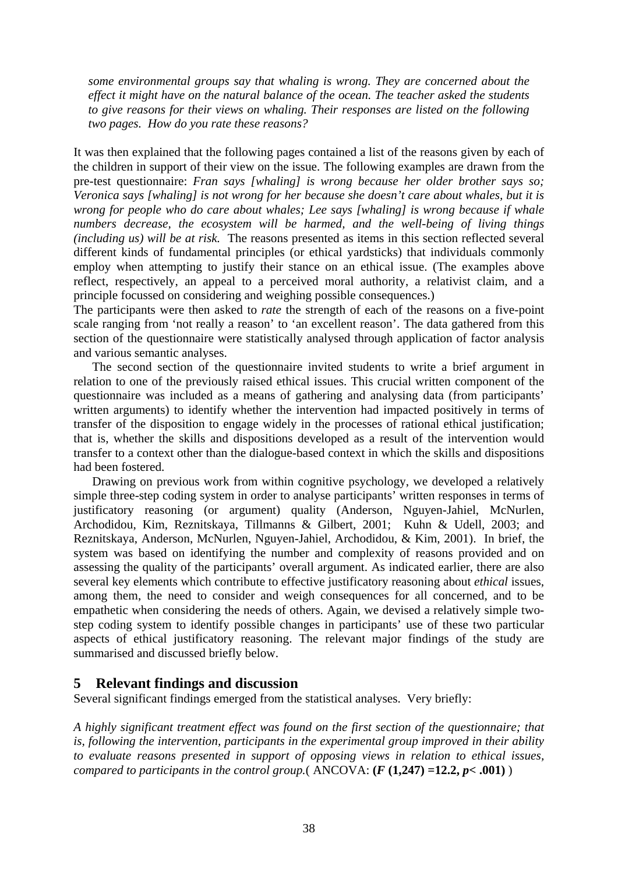*some environmental groups say that whaling is wrong. They are concerned about the effect it might have on the natural balance of the ocean. The teacher asked the students to give reasons for their views on whaling. Their responses are listed on the following two pages. How do you rate these reasons?* 

It was then explained that the following pages contained a list of the reasons given by each of the children in support of their view on the issue. The following examples are drawn from the pre-test questionnaire: *Fran says [whaling] is wrong because her older brother says so; Veronica says [whaling] is not wrong for her because she doesn't care about whales, but it is wrong for people who do care about whales; Lee says [whaling] is wrong because if whale numbers decrease, the ecosystem will be harmed, and the well-being of living things (including us) will be at risk.* The reasons presented as items in this section reflected several different kinds of fundamental principles (or ethical yardsticks) that individuals commonly employ when attempting to justify their stance on an ethical issue. (The examples above reflect, respectively, an appeal to a perceived moral authority, a relativist claim, and a principle focussed on considering and weighing possible consequences.)

The participants were then asked to *rate* the strength of each of the reasons on a five-point scale ranging from 'not really a reason' to 'an excellent reason'. The data gathered from this section of the questionnaire were statistically analysed through application of factor analysis and various semantic analyses.

The second section of the questionnaire invited students to write a brief argument in relation to one of the previously raised ethical issues. This crucial written component of the questionnaire was included as a means of gathering and analysing data (from participants' written arguments) to identify whether the intervention had impacted positively in terms of transfer of the disposition to engage widely in the processes of rational ethical justification; that is, whether the skills and dispositions developed as a result of the intervention would transfer to a context other than the dialogue-based context in which the skills and dispositions had been fostered.

Drawing on previous work from within cognitive psychology, we developed a relatively simple three-step coding system in order to analyse participants' written responses in terms of justificatory reasoning (or argument) quality (Anderson, Nguyen-Jahiel, McNurlen, Archodidou, Kim, Reznitskaya, Tillmanns & Gilbert, 2001; Kuhn & Udell, 2003; and Reznitskaya, Anderson, McNurlen, Nguyen-Jahiel, Archodidou, & Kim, 2001). In brief, the system was based on identifying the number and complexity of reasons provided and on assessing the quality of the participants' overall argument. As indicated earlier, there are also several key elements which contribute to effective justificatory reasoning about *ethical* issues, among them, the need to consider and weigh consequences for all concerned, and to be empathetic when considering the needs of others. Again, we devised a relatively simple twostep coding system to identify possible changes in participants' use of these two particular aspects of ethical justificatory reasoning. The relevant major findings of the study are summarised and discussed briefly below.

# **5 Relevant findings and discussion**

Several significant findings emerged from the statistical analyses. Very briefly:

*A highly significant treatment effect was found on the first section of the questionnaire; that is, following the intervention, participants in the experimental group improved in their ability to evaluate reasons presented in support of opposing views in relation to ethical issues, compared to participants in the control group.*( $\text{ANCOVA}:$   $(F (1,247) = 12.2, p < .001)$ )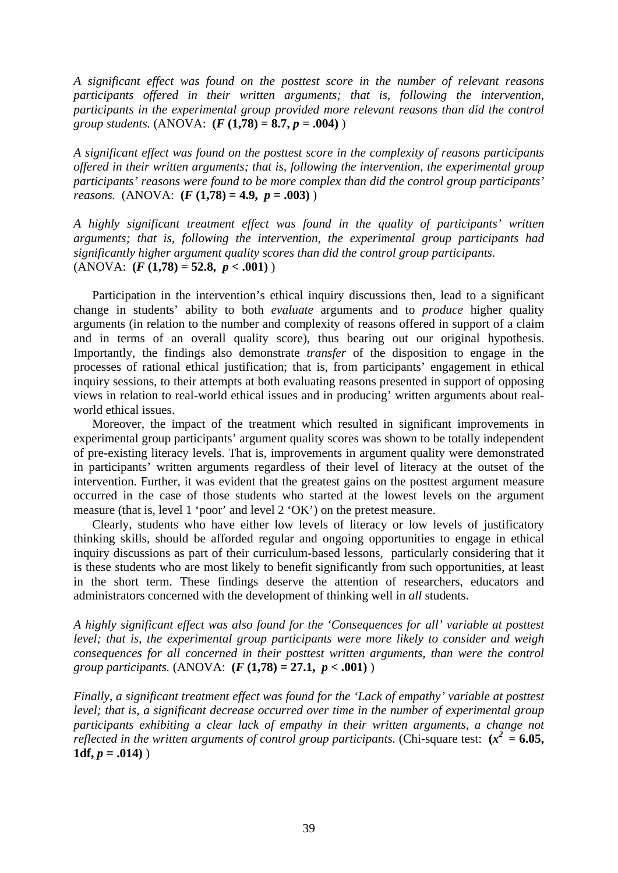*A significant effect was found on the posttest score in the number of relevant reasons participants offered in their written arguments; that is, following the intervention, participants in the experimental group provided more relevant reasons than did the control group students.* (ANOVA: **(***F* **(1,78) = 8.7,** *p* **= .004)** )

*A significant effect was found on the posttest score in the complexity of reasons participants offered in their written arguments; that is, following the intervention, the experimental group participants' reasons were found to be more complex than did the control group participants' reasons.* (ANOVA:  $(F(1,78) = 4.9, p = .003)$ )

*A highly significant treatment effect was found in the quality of participants' written arguments; that is, following the intervention, the experimental group participants had significantly higher argument quality scores than did the control group participants.*   $(ANOVA: (F(1,78) = 52.8, p < .001))$ 

Participation in the intervention's ethical inquiry discussions then, lead to a significant change in students' ability to both *evaluate* arguments and to *produce* higher quality arguments (in relation to the number and complexity of reasons offered in support of a claim and in terms of an overall quality score), thus bearing out our original hypothesis. Importantly, the findings also demonstrate *transfer* of the disposition to engage in the processes of rational ethical justification; that is, from participants' engagement in ethical inquiry sessions, to their attempts at both evaluating reasons presented in support of opposing views in relation to real-world ethical issues and in producing' written arguments about realworld ethical issues.

Moreover, the impact of the treatment which resulted in significant improvements in experimental group participants' argument quality scores was shown to be totally independent of pre-existing literacy levels. That is, improvements in argument quality were demonstrated in participants' written arguments regardless of their level of literacy at the outset of the intervention. Further, it was evident that the greatest gains on the posttest argument measure occurred in the case of those students who started at the lowest levels on the argument measure (that is, level 1 'poor' and level 2 'OK') on the pretest measure.

Clearly, students who have either low levels of literacy or low levels of justificatory thinking skills, should be afforded regular and ongoing opportunities to engage in ethical inquiry discussions as part of their curriculum-based lessons, particularly considering that it is these students who are most likely to benefit significantly from such opportunities, at least in the short term. These findings deserve the attention of researchers, educators and administrators concerned with the development of thinking well in *all* students.

*A highly significant effect was also found for the 'Consequences for all' variable at posttest level; that is, the experimental group participants were more likely to consider and weigh consequences for all concerned in their posttest written arguments, than were the control group participants.* (ANOVA: **(***F* **(1,78) = 27.1,** *p* **< .001)** )

*Finally, a significant treatment effect was found for the 'Lack of empathy' variable at posttest level; that is, a significant decrease occurred over time in the number of experimental group participants exhibiting a clear lack of empathy in their written arguments, a change not reflected in the written arguments of control group participants.* (Chi-square test:  $(x^2 = 6.05,$ **1df,**  $p = .014$ )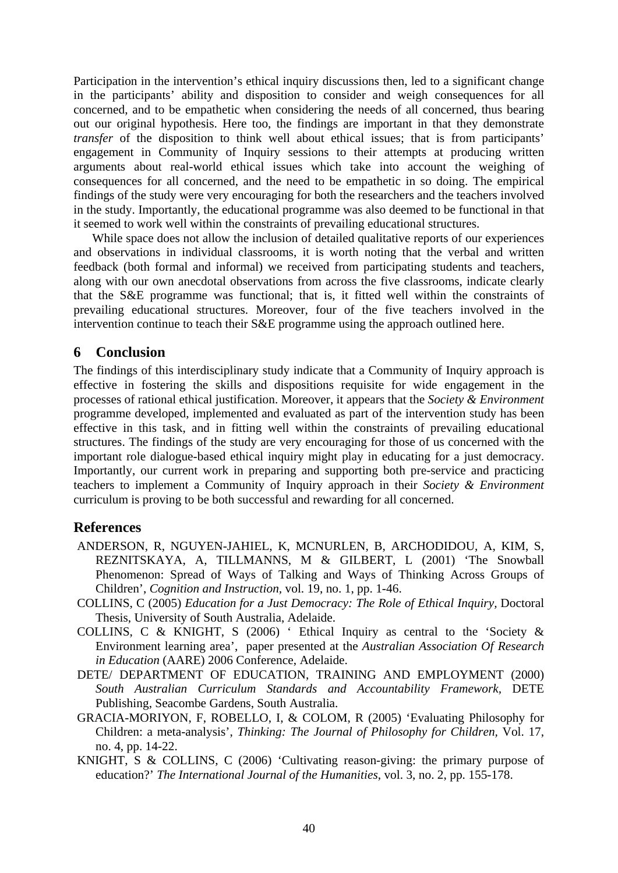Participation in the intervention's ethical inquiry discussions then, led to a significant change in the participants' ability and disposition to consider and weigh consequences for all concerned, and to be empathetic when considering the needs of all concerned, thus bearing out our original hypothesis. Here too, the findings are important in that they demonstrate *transfer* of the disposition to think well about ethical issues; that is from participants' engagement in Community of Inquiry sessions to their attempts at producing written arguments about real-world ethical issues which take into account the weighing of consequences for all concerned, and the need to be empathetic in so doing. The empirical findings of the study were very encouraging for both the researchers and the teachers involved in the study. Importantly, the educational programme was also deemed to be functional in that it seemed to work well within the constraints of prevailing educational structures.

While space does not allow the inclusion of detailed qualitative reports of our experiences and observations in individual classrooms, it is worth noting that the verbal and written feedback (both formal and informal) we received from participating students and teachers, along with our own anecdotal observations from across the five classrooms, indicate clearly that the S&E programme was functional; that is, it fitted well within the constraints of prevailing educational structures. Moreover, four of the five teachers involved in the intervention continue to teach their S&E programme using the approach outlined here.

## **6 Conclusion**

The findings of this interdisciplinary study indicate that a Community of Inquiry approach is effective in fostering the skills and dispositions requisite for wide engagement in the processes of rational ethical justification. Moreover, it appears that the *Society & Environment* programme developed, implemented and evaluated as part of the intervention study has been effective in this task, and in fitting well within the constraints of prevailing educational structures. The findings of the study are very encouraging for those of us concerned with the important role dialogue-based ethical inquiry might play in educating for a just democracy. Importantly, our current work in preparing and supporting both pre-service and practicing teachers to implement a Community of Inquiry approach in their *Society & Environment* curriculum is proving to be both successful and rewarding for all concerned.

## **References**

- ANDERSON, R, NGUYEN-JAHIEL, K, MCNURLEN, B, ARCHODIDOU, A, KIM, S, REZNITSKAYA, A, TILLMANNS, M & GILBERT, L (2001) 'The Snowball Phenomenon: Spread of Ways of Talking and Ways of Thinking Across Groups of Children', *Cognition and Instruction,* vol. 19, no. 1, pp. 1-46.
- COLLINS, C (2005) *Education for a Just Democracy: The Role of Ethical Inquiry,* Doctoral Thesis, University of South Australia, Adelaide.
- COLLINS, C & KNIGHT, S (2006) ' Ethical Inquiry as central to the 'Society & Environment learning area', paper presented at the *Australian Association Of Research in Education* (AARE) 2006 Conference, Adelaide.
- DETE/ DEPARTMENT OF EDUCATION, TRAINING AND EMPLOYMENT (2000) *South Australian Curriculum Standards and Accountability Framework,* DETE Publishing, Seacombe Gardens, South Australia.
- GRACIA-MORIYON, F, ROBELLO, I, & COLOM, R (2005) 'Evaluating Philosophy for Children: a meta-analysis', *Thinking: The Journal of Philosophy for Children,* Vol. 17, no. 4, pp. 14-22.
- KNIGHT, S & COLLINS, C (2006) 'Cultivating reason-giving: the primary purpose of education?' *The International Journal of the Humanities*, vol. 3, no. 2, pp. 155-178.